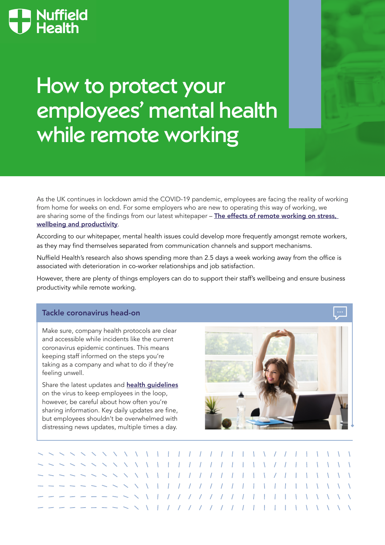# **Nuffield<br>Health**

## How to protect your employees' mental health while remote working

As the UK continues in lockdown amid the COVID-19 pandemic, employees are facing the reality of working from home for weeks on end. For some employers who are new to operating this way of working, we are sharing some of the findings from our latest whitepaper – The effects of remote working on stress, [wellbeing and productivity](https://www.nuffieldhealth.com/working-remotely-whitepaper).

According to our whitepaper, mental health issues could develop more frequently amongst remote workers, as they may find themselves separated from communication channels and support mechanisms.

Nuffield Health's research also shows spending more than 2.5 days a week working away from the office is associated with deterioration in co-worker relationships and job satisfaction.

However, there are plenty of things employers can do to support their staff's wellbeing and ensure business productivity while remote working.

#### Tackle coronavirus head-on

Make sure, company health protocols are clear and accessible while incidents like the current coronavirus epidemic continues. This means keeping staff informed on the steps you're taking as a company and what to do if they're feeling unwell.

Share the latest updates and **[health guidelines](https://www.nhs.uk/conditions/coronavirus-covid-19)** on the virus to keep employees in the loop, however, be careful about how often you're sharing information. Key daily updates are fine, but employees shouldn't be overwhelmed with distressing news updates, multiple times a day.